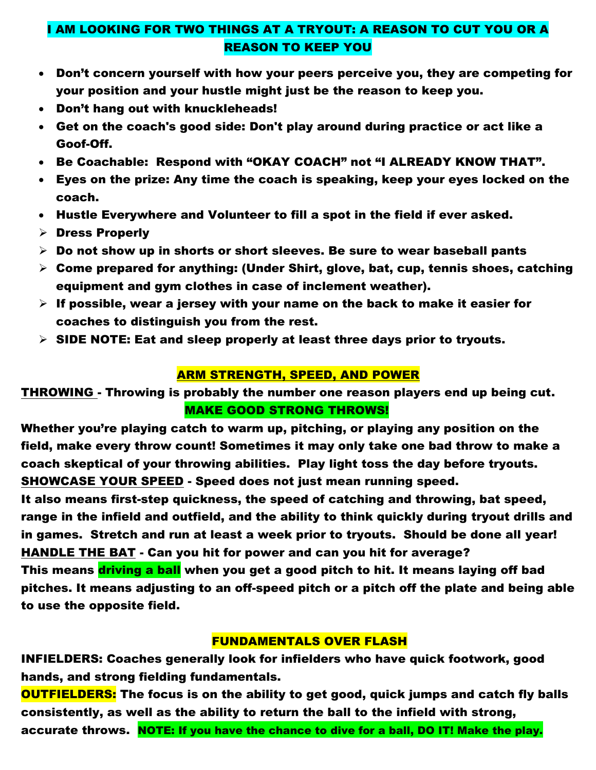## I AM LOOKING FOR TWO THINGS AT A TRYOUT: A REASON TO CUT YOU OR A REASON TO KEEP YOU

- Don't concern yourself with how your peers perceive you, they are competing for your position and your hustle might just be the reason to keep you.
- Don't hang out with knuckleheads!
- Get on the coach's good side: Don't play around during practice or act like a Goof-Off.
- Be Coachable: Respond with "OKAY COACH" not "I ALREADY KNOW THAT".
- Eyes on the prize: Any time the coach is speaking, keep your eyes locked on the coach.
- Hustle Everywhere and Volunteer to fill a spot in the field if ever asked.
- ➢ Dress Properly
- $\triangleright$  Do not show up in shorts or short sleeves. Be sure to wear baseball pants
- $\triangleright$  Come prepared for anything: (Under Shirt, glove, bat, cup, tennis shoes, catching equipment and gym clothes in case of inclement weather).
- $\triangleright$  If possible, wear a jersey with your name on the back to make it easier for coaches to distinguish you from the rest.
- $\triangleright$  SIDE NOTE: Eat and sleep properly at least three days prior to tryouts.

#### ARM STRENGTH, SPEED, AND POWER

THROWING - Throwing is probably the number one reason players end up being cut. MAKE GOOD STRONG THROWS!

Whether you're playing catch to warm up, pitching, or playing any position on the field, make every throw count! Sometimes it may only take one bad throw to make a coach skeptical of your throwing abilities. Play light toss the day before tryouts. SHOWCASE YOUR SPEED - Speed does not just mean running speed.

It also means first-step quickness, the speed of catching and throwing, bat speed, range in the infield and outfield, and the ability to think quickly during tryout drills and in games. Stretch and run at least a week prior to tryouts. Should be done all year! HANDLE THE BAT - Can you hit for power and can you hit for average?

This means driving a ball when you get a good pitch to hit. It means laying off bad pitches. It means adjusting to an off-speed pitch or a pitch off the plate and being able to use the [opposite field.](http://baseball.isport.com/baseball-guides/baseball-glossary/?key=997)

### FUNDAMENTALS OVER FLASH

INFIELDERS: Coaches generally look for infielders who have quick footwork, good hands, and strong fielding fundamentals.

**OUTFIELDERS:** The focus is on the ability to get good, quick jumps and catch fly balls consistently, as well as the ability to return the ball to the infield with strong, accurate throws. NOTE: If you have the chance to dive for a ball, DO IT! Make the play.